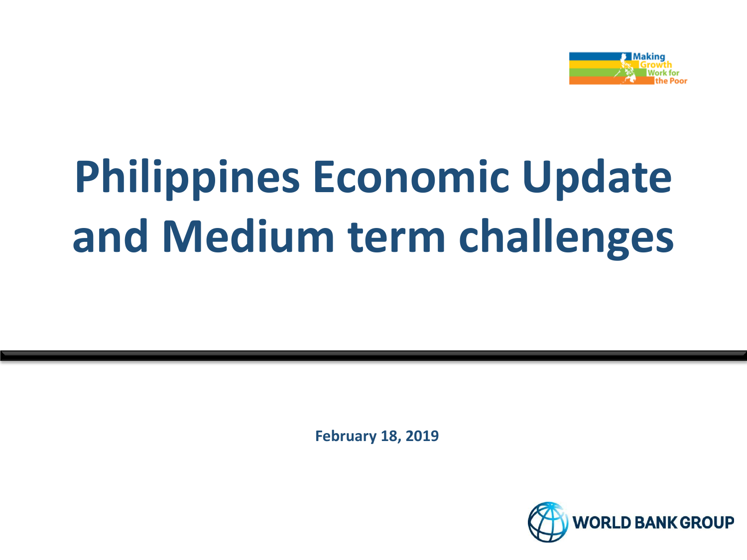

## **Philippines Economic Update and Medium term challenges**

**February 18, 2019**

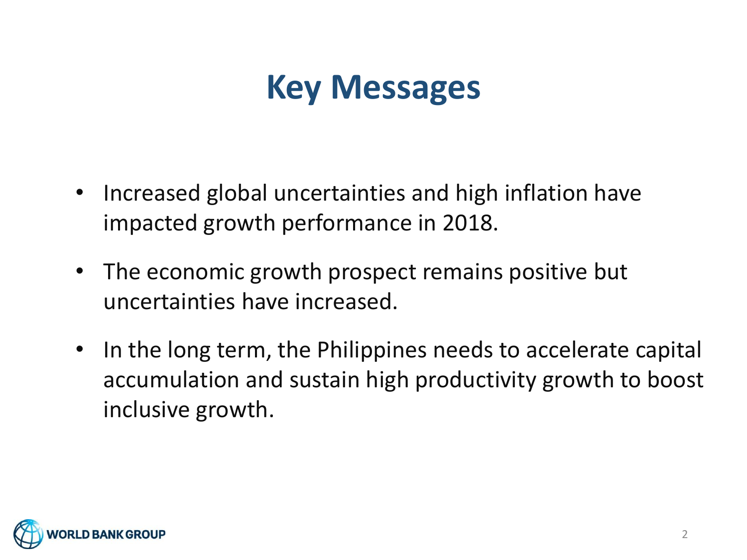### **Key Messages**

- Increased global uncertainties and high inflation have impacted growth performance in 2018.
- The economic growth prospect remains positive but uncertainties have increased.
- In the long term, the Philippines needs to accelerate capital accumulation and sustain high productivity growth to boost inclusive growth.

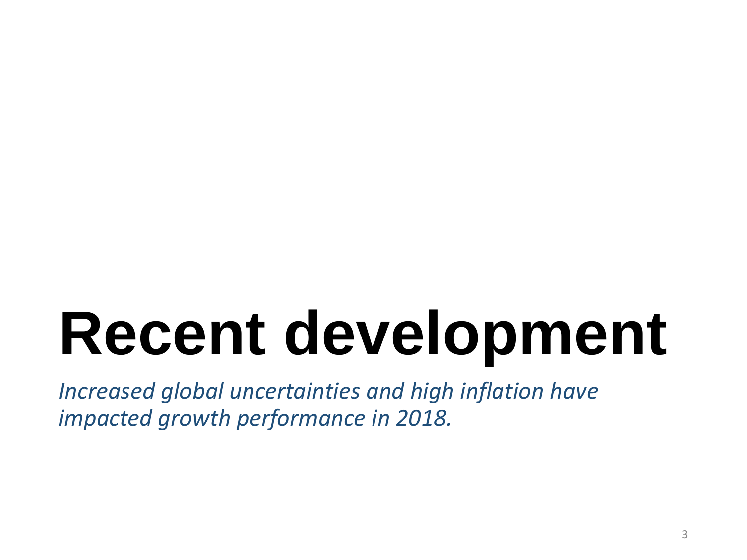## **Recent development**

*Increased global uncertainties and high inflation have impacted growth performance in 2018.*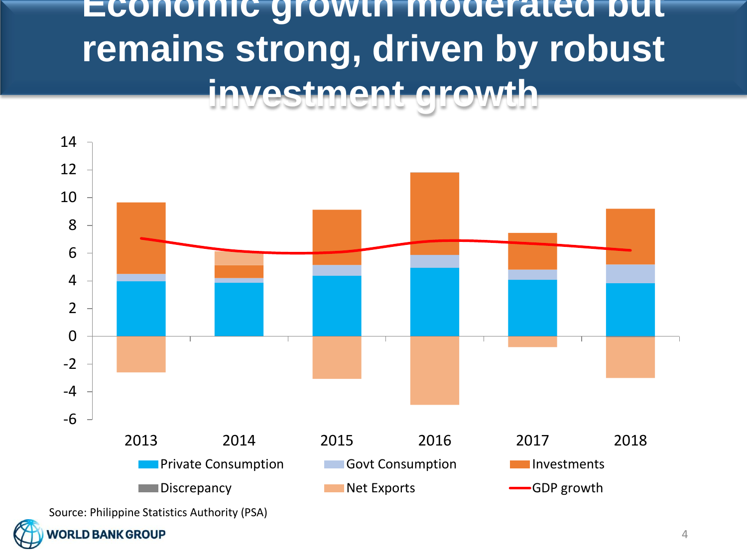#### **Economic growth moderated but remains strong, driven by robust investment growth**



#### **ORLD BANK GROUP**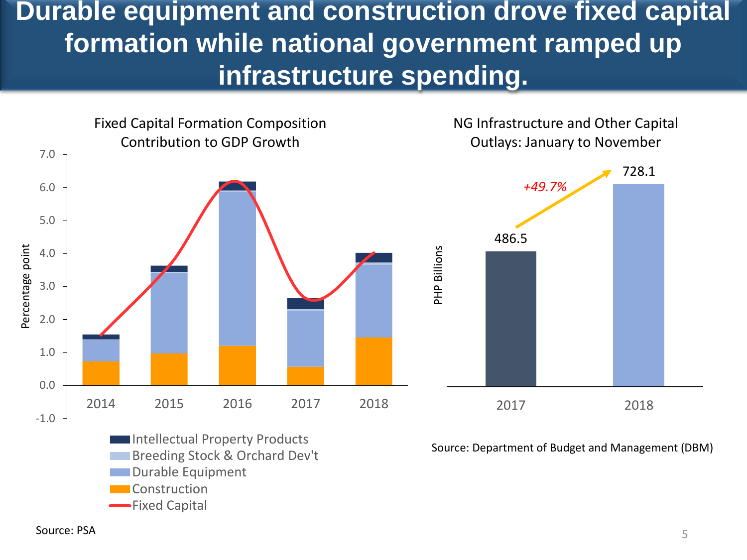**Durable equipment and construction drove fixed capital formation while national government ramped up infrastructure spending.**



Fixed Capital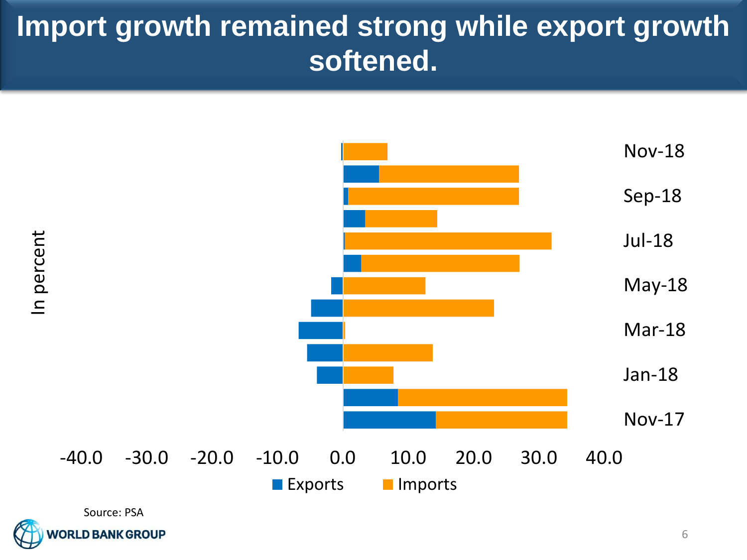#### **Import growth remained strong while export growth softened.**



**RLD BANK GROUP**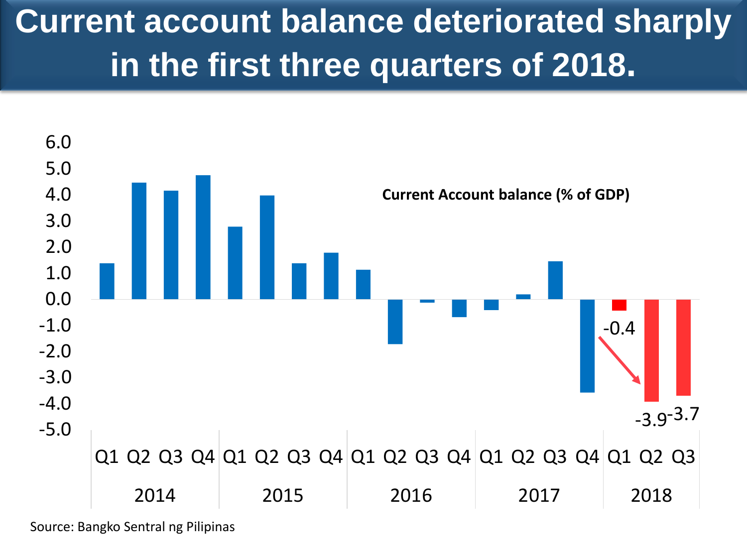### **Current account balance deteriorated sharply in the first three quarters of 2018.**



Source: Bangko Sentral ng Pilipinas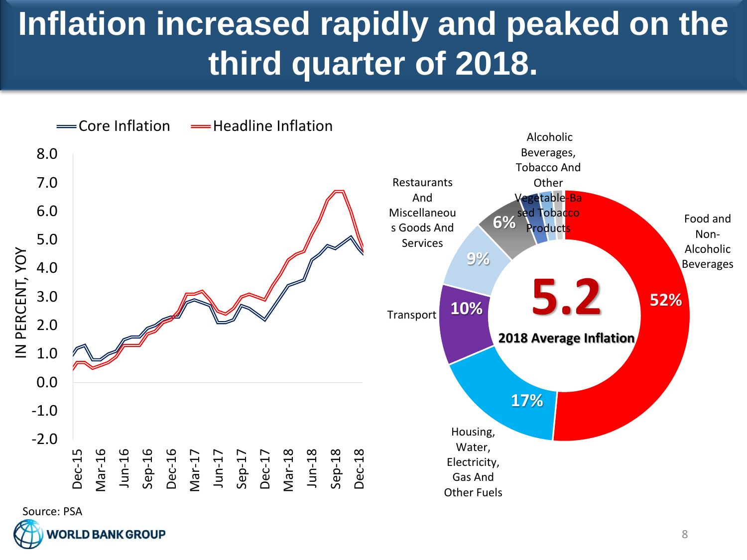#### **Inflation increased rapidly and peaked on the third quarter of 2018.**



**RLD BANK GROUP**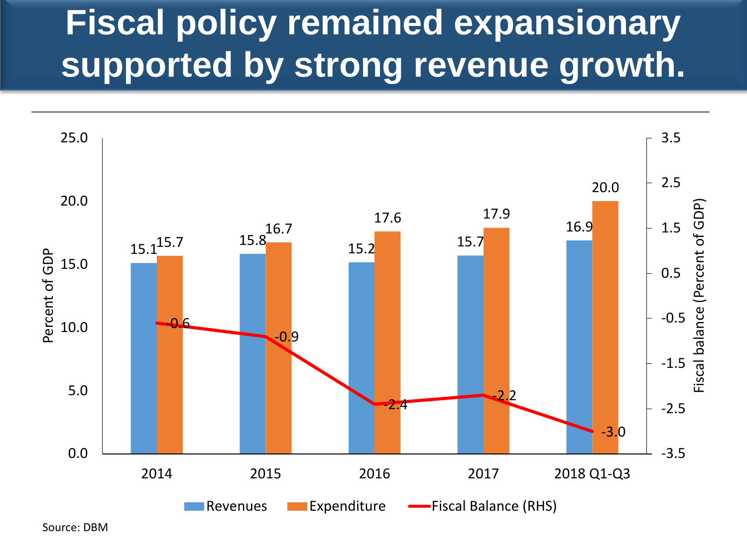## **Fiscal policy remained expansionary supported by strong revenue growth.**



Source: DBM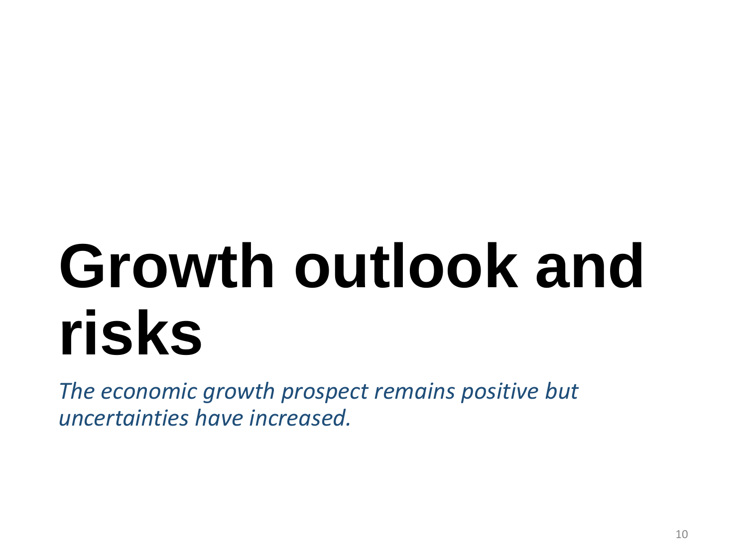## **Growth outlook and risks**

*The economic growth prospect remains positive but uncertainties have increased.*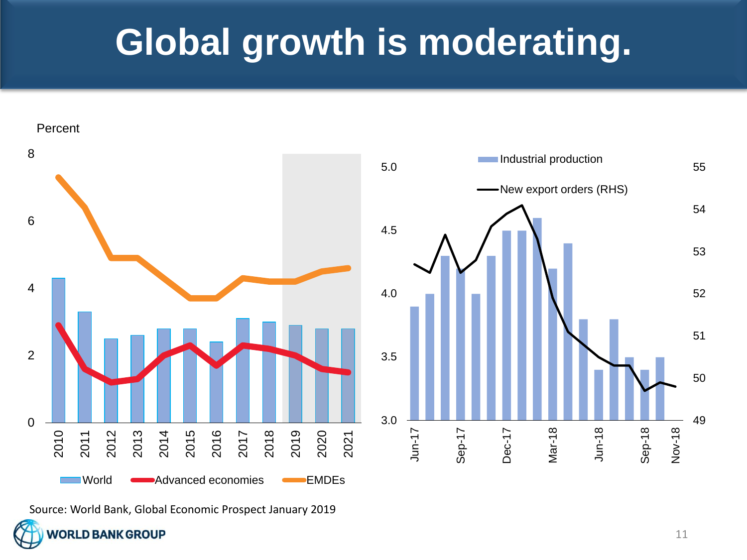## **Global growth is moderating.**



Source: World Bank, Global Economic Prospect January 2019

**VORLD BANK GROUP**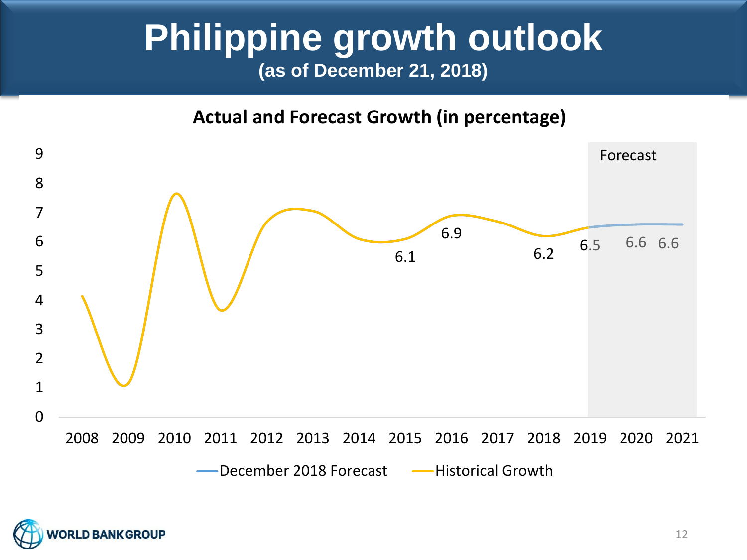#### **Philippine growth outlook (as of December 21, 2018)**

**Actual and Forecast Growth (in percentage)**



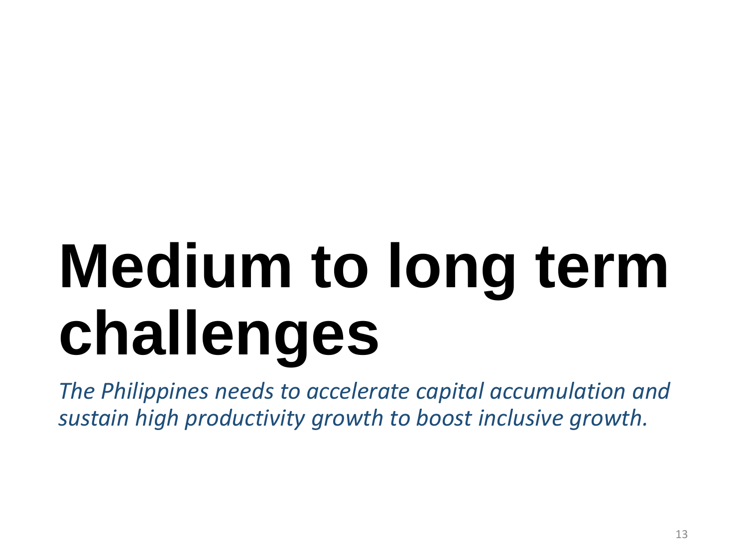# **Medium to long term challenges**

*The Philippines needs to accelerate capital accumulation and sustain high productivity growth to boost inclusive growth.*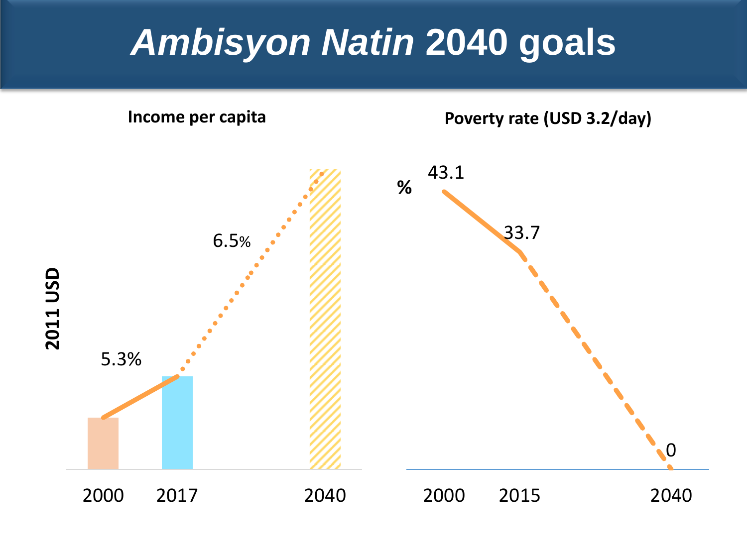## *Ambisyon Natin* **2040 goals**

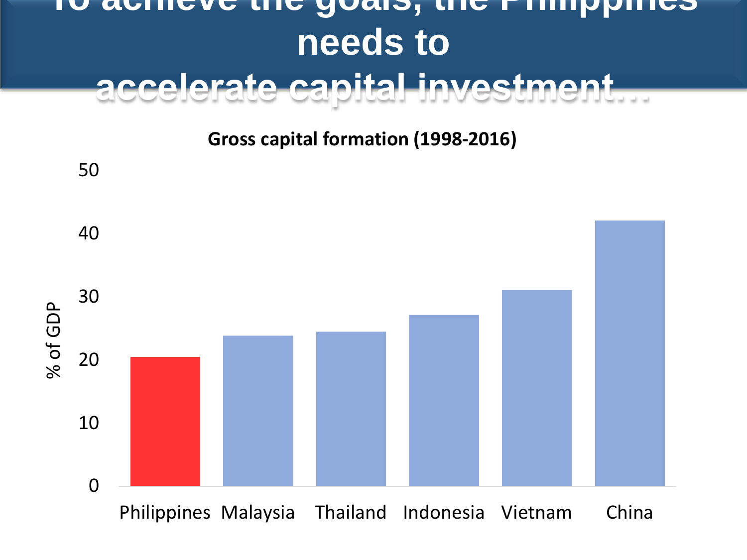#### **To achieve the goals, the Philippines needs to accelerate capital investment…**

**Gross capital formation (1998-2016)**

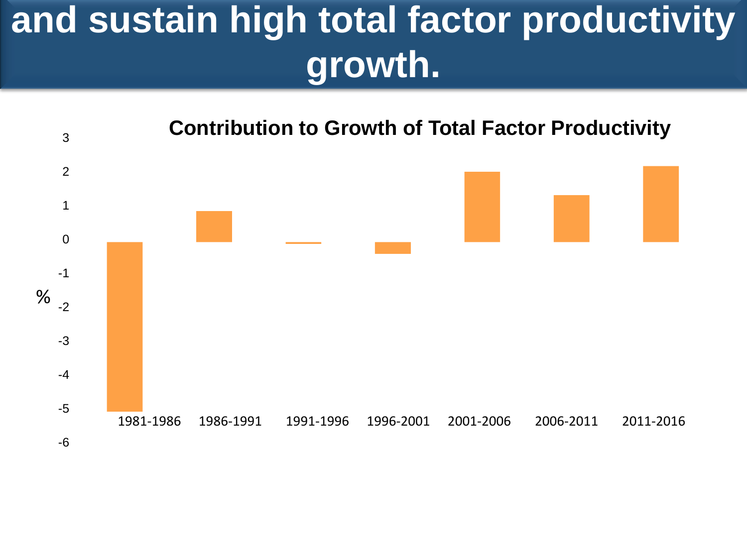## **and sustain high total factor productivity growth.**

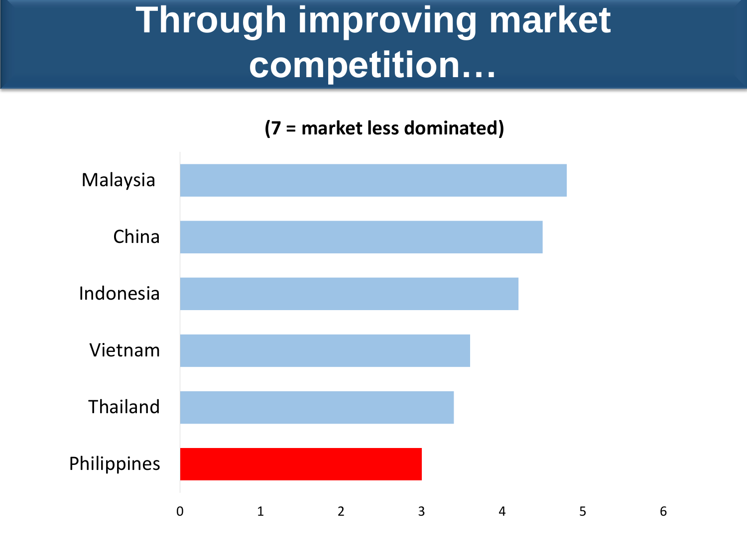## **Through improving market competition…**

**(7 = market less dominated)**

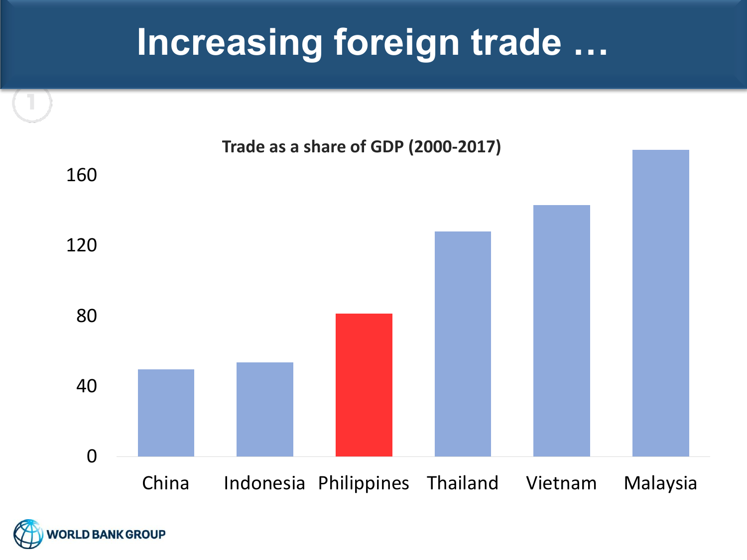## **Increasing foreign trade …**



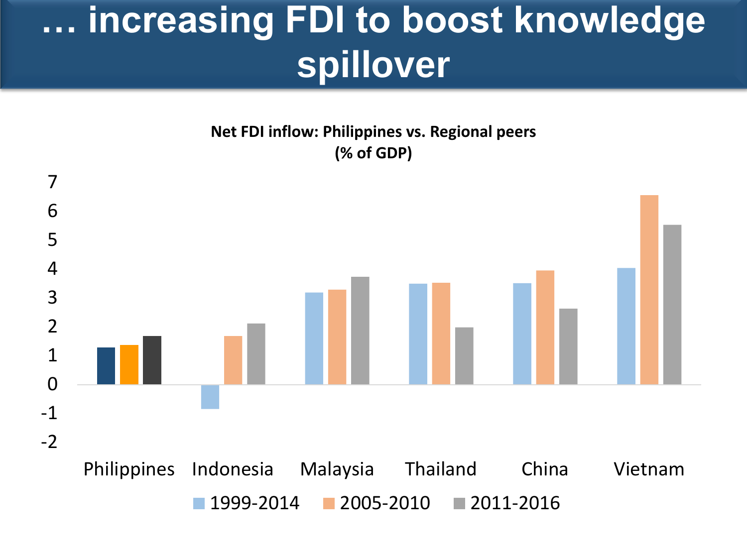## **… increasing FDI to boost knowledge spillover**

**Net FDI inflow: Philippines vs. Regional peers (% of GDP)**

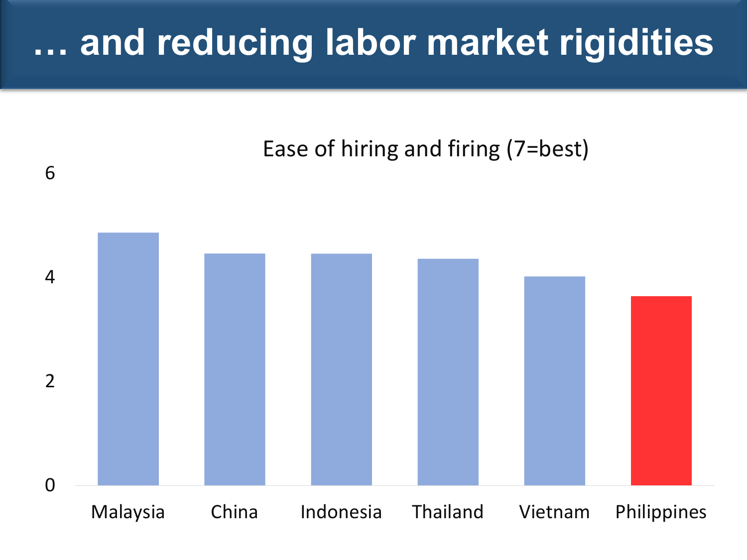## **… and reducing labor market rigidities**